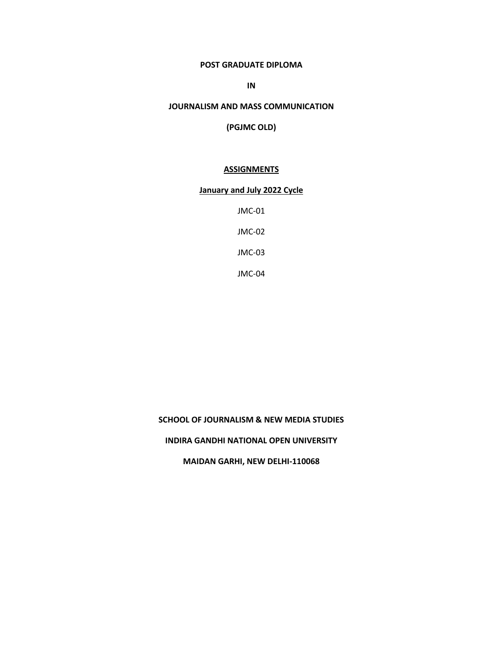## **POST GRADUATE DIPLOMA**

**IN**

### **JOURNALISM AND MASS COMMUNICATION**

**(PGJMC OLD)**

### **ASSIGNMENTS**

## **January and July 2022 Cycle**

JMC-01

JMC-02

JMC-03

JMC-04

# **SCHOOL OF JOURNALISM & NEW MEDIA STUDIES**

### **INDIRA GANDHI NATIONAL OPEN UNIVERSITY**

**MAIDAN GARHI, NEW DELHI-110068**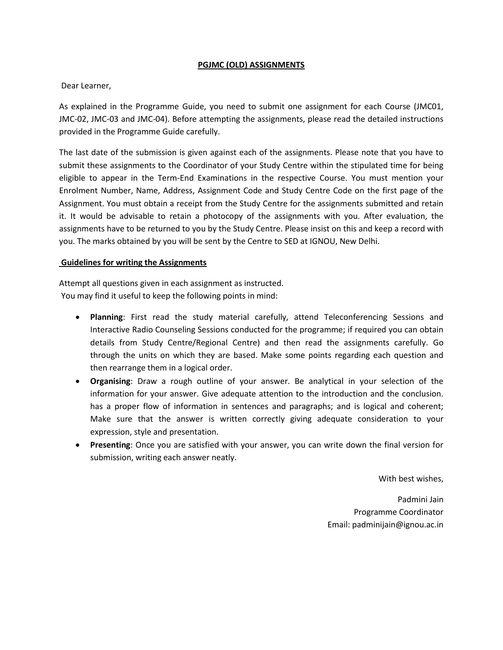## **PGJMC (OLD) ASSIGNMENTS**

## Dear Learner,

As explained in the Programme Guide, you need to submit one assignment for each Course (JMC01, JMC-02, JMC-03 and JMC-04). Before attempting the assignments, please read the detailed instructions provided in the Programme Guide carefully.

The last date of the submission is given against each of the assignments. Please note that you have to submit these assignments to the Coordinator of your Study Centre within the stipulated time for being eligible to appear in the Term-End Examinations in the respective Course. You must mention your Enrolment Number, Name, Address, Assignment Code and Study Centre Code on the first page of the Assignment. You must obtain a receipt from the Study Centre for the assignments submitted and retain it. It would be advisable to retain a photocopy of the assignments with you. After evaluation, the assignments have to be returned to you by the Study Centre. Please insist on this and keep a record with you. The marks obtained by you will be sent by the Centre to SED at IGNOU, New Delhi.

## **Guidelines for writing the Assignments**

Attempt all questions given in each assignment as instructed. You may find it useful to keep the following points in mind:

- **Planning**: First read the study material carefully, attend Teleconferencing Sessions and Interactive Radio Counseling Sessions conducted for the programme; if required you can obtain details from Study Centre/Regional Centre) and then read the assignments carefully. Go through the units on which they are based. Make some points regarding each question and then rearrange them in a logical order.
- **Organising**: Draw a rough outline of your answer. Be analytical in your selection of the information for your answer. Give adequate attention to the introduction and the conclusion. has a proper flow of information in sentences and paragraphs; and is logical and coherent; Make sure that the answer is written correctly giving adequate consideration to your expression, style and presentation.
- **Presenting**: Once you are satisfied with your answer, you can write down the final version for submission, writing each answer neatly.

With best wishes,

Padmini Jain Programme Coordinator Email: padminijain@ignou.ac.in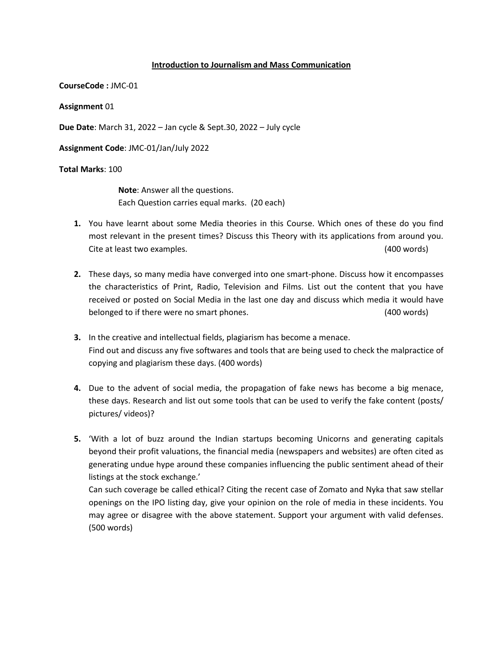### **Introduction to Journalism and Mass Communication**

**CourseCode :** JMC-01

**Assignment** 01

**Due Date**: March 31, 2022 – Jan cycle & Sept.30, 2022 – July cycle

**Assignment Code**: JMC-01/Jan/July 2022

### **Total Marks**: 100

**Note**: Answer all the questions. Each Question carries equal marks. (20 each)

- **1.** You have learnt about some Media theories in this Course. Which ones of these do you find most relevant in the present times? Discuss this Theory with its applications from around you. Cite at least two examples. (400 words)
- **2.** These days, so many media have converged into one smart-phone. Discuss how it encompasses the characteristics of Print, Radio, Television and Films. List out the content that you have received or posted on Social Media in the last one day and discuss which media it would have belonged to if there were no smart phones. (400 words)
- **3.** In the creative and intellectual fields, plagiarism has become a menace. Find out and discuss any five softwares and tools that are being used to check the malpractice of copying and plagiarism these days. (400 words)
- **4.** Due to the advent of social media, the propagation of fake news has become a big menace, these days. Research and list out some tools that can be used to verify the fake content (posts/ pictures/ videos)?
- **5.** 'With a lot of buzz around the Indian startups becoming Unicorns and generating capitals beyond their profit valuations, the financial media (newspapers and websites) are often cited as generating undue hype around these companies influencing the public sentiment ahead of their listings at the stock exchange.'

Can such coverage be called ethical? Citing the recent case of Zomato and Nyka that saw stellar openings on the IPO listing day, give your opinion on the role of media in these incidents. You may agree or disagree with the above statement. Support your argument with valid defenses. (500 words)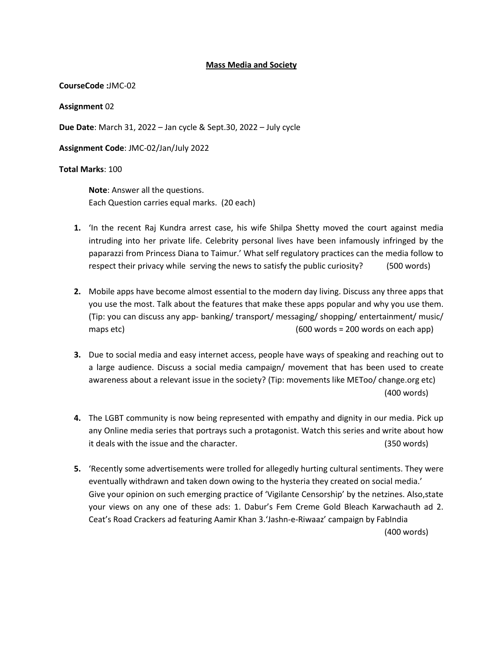### **Mass Media and Society**

**CourseCode :**JMC-02

**Assignment** 02

**Due Date**: March 31, 2022 – Jan cycle & Sept.30, 2022 – July cycle

**Assignment Code**: JMC-02/Jan/July 2022

### **Total Marks**: 100

**Note**: Answer all the questions. Each Question carries equal marks. (20 each)

- **1.** 'In the recent Raj Kundra arrest case, his wife Shilpa Shetty moved the court against media intruding into her private life. Celebrity personal lives have been infamously infringed by the paparazzi from Princess Diana to Taimur.' What self regulatory practices can the media follow to respect their privacy while serving the news to satisfy the public curiosity? (500 words)
- **2.** Mobile apps have become almost essential to the modern day living. Discuss any three apps that you use the most. Talk about the features that make these apps popular and why you use them. (Tip: you can discuss any app- banking/ transport/ messaging/ shopping/ entertainment/ music/ maps etc) and the control of the control of the control (600 words = 200 words on each app)
- **3.** Due to social media and easy internet access, people have ways of speaking and reaching out to a large audience. Discuss a social media campaign/ movement that has been used to create awareness about a relevant issue in the society? (Tip: movements like METoo/ change.org etc) (400 words)
- **4.** The LGBT community is now being represented with empathy and dignity in our media. Pick up any Online media series that portrays such a protagonist. Watch this series and write about how it deals with the issue and the character. (350 words)
- **5.** 'Recently some advertisements were trolled for allegedly hurting cultural sentiments. They were eventually withdrawn and taken down owing to the hysteria they created on social media.' Give your opinion on such emerging practice of 'Vigilante Censorship' by the netzines. Also,state your views on any one of these ads: 1. Dabur's Fem Creme Gold Bleach Karwachauth ad 2. Ceat's Road Crackers ad featuring Aamir Khan 3.'Jashn-e-Riwaaz' campaign by FabIndia (400 words)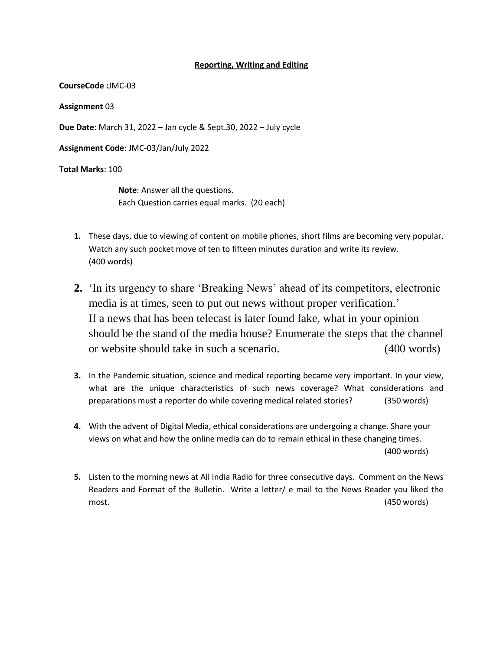### **Reporting, Writing and Editing**

**CourseCode :**JMC-03

**Assignment** 03

**Due Date**: March 31, 2022 – Jan cycle & Sept.30, 2022 – July cycle

**Assignment Code**: JMC-03/Jan/July 2022

**Total Marks**: 100

**Note**: Answer all the questions. Each Question carries equal marks. (20 each)

- **1.** These days, due to viewing of content on mobile phones, short films are becoming very popular. Watch any such pocket move of ten to fifteen minutes duration and write its review. (400 words)
- **2.** 'In its urgency to share 'Breaking News' ahead of its competitors, electronic media is at times, seen to put out news without proper verification.' If a news that has been telecast is later found fake, what in your opinion should be the stand of the media house? Enumerate the steps that the channel or website should take in such a scenario. (400 words)
- **3.** In the Pandemic situation, science and medical reporting became very important. In your view, what are the unique characteristics of such news coverage? What considerations and preparations must a reporter do while covering medical related stories? (350 words)
- **4.** With the advent of Digital Media, ethical considerations are undergoing a change. Share your views on what and how the online media can do to remain ethical in these changing times. (400 words)
- **5.** Listen to the morning news at All India Radio for three consecutive days. Comment on the News Readers and Format of the Bulletin. Write a letter/ e mail to the News Reader you liked the most. (450 words)